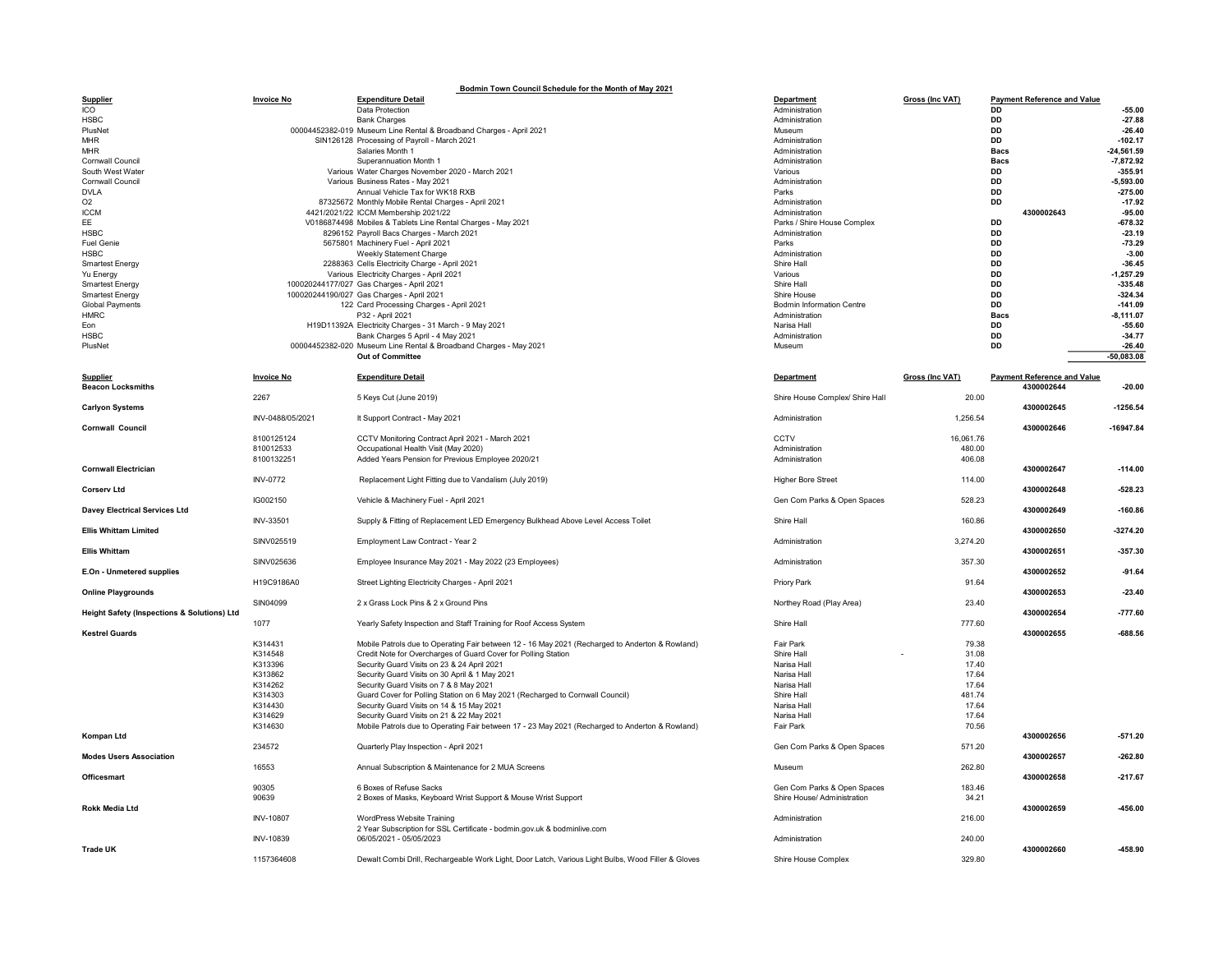| Bodmin Town Council Schedule for the Month of May 2021 |                    |                                                                                                               |                                  |                        |                                                  |                          |  |  |  |  |  |
|--------------------------------------------------------|--------------------|---------------------------------------------------------------------------------------------------------------|----------------------------------|------------------------|--------------------------------------------------|--------------------------|--|--|--|--|--|
| <b>Supplier</b>                                        | <b>Invoice No</b>  | <b>Expenditure Detail</b>                                                                                     | <b>Department</b>                | Gross (Inc VAT)        | <b>Payment Reference and Value</b>               |                          |  |  |  |  |  |
| ICO<br><b>HSBC</b>                                     |                    | Data Protection                                                                                               | Administration<br>Administration |                        | DD<br>DD                                         | $-55.00$<br>$-27.88$     |  |  |  |  |  |
| PlusNet                                                |                    | <b>Bank Charges</b><br>00004452382-019 Museum Line Rental & Broadband Charges - April 2021                    | Museum                           |                        | <b>DD</b>                                        | $-26.40$                 |  |  |  |  |  |
| <b>MHR</b>                                             |                    | SIN126128 Processing of Payroll - March 2021                                                                  | Administration                   |                        | <b>DD</b>                                        | $-102.17$                |  |  |  |  |  |
| <b>MHR</b>                                             |                    | Salaries Month 1                                                                                              | Administration                   |                        | <b>Bacs</b>                                      | $-24,561.59$             |  |  |  |  |  |
| Cornwall Council                                       |                    | Superannuation Month 1                                                                                        | Administration                   |                        | <b>Bacs</b>                                      | $-7,872.92$              |  |  |  |  |  |
| South West Water                                       |                    | Various Water Charges November 2020 - March 2021                                                              | Various                          |                        | DD                                               | $-355.91$                |  |  |  |  |  |
| Cornwall Council                                       |                    | Various Business Rates - May 2021                                                                             | Administration                   |                        | <b>DD</b>                                        | $-5.593.00$              |  |  |  |  |  |
| <b>DVLA</b>                                            |                    | Annual Vehicle Tax for WK18 RXB                                                                               | Parks                            |                        | <b>DD</b>                                        | $-275.00$                |  |  |  |  |  |
| O <sub>2</sub>                                         |                    | 87325672 Monthly Mobile Rental Charges - April 2021                                                           | Administration                   |                        | DD                                               | $-17.92$                 |  |  |  |  |  |
| <b>ICCM</b>                                            |                    | 4421/2021/22 ICCM Membership 2021/22                                                                          | Administration                   |                        | 4300002643                                       | $-95.00$                 |  |  |  |  |  |
| EE<br><b>HSBC</b>                                      |                    | V0186874498 Mobiles & Tablets Line Rental Charges - May 2021                                                  | Parks / Shire House Complex      |                        | <b>DD</b><br><b>DD</b>                           | $-678.32$<br>$-23.19$    |  |  |  |  |  |
| <b>Fuel Genie</b>                                      |                    | 8296152 Payroll Bacs Charges - March 2021<br>5675801 Machinery Fuel - April 2021                              | Administration<br>Parks          |                        | <b>DD</b>                                        | $-73.29$                 |  |  |  |  |  |
| <b>HSBC</b>                                            |                    | Weekly Statement Charge                                                                                       | Administration                   |                        | <b>DD</b>                                        | $-3.00$                  |  |  |  |  |  |
| Smartest Energy                                        |                    | 2288363 Cells Electricity Charge - April 2021                                                                 | Shire Hall                       |                        | <b>DD</b>                                        | $-36.45$                 |  |  |  |  |  |
| Yu Energy                                              |                    | Various Electricity Charges - April 2021                                                                      | Various                          |                        | <b>DD</b>                                        | $-1.257.29$              |  |  |  |  |  |
| <b>Smartest Energy</b>                                 |                    | 100020244177/027 Gas Charges - April 2021                                                                     | Shire Hall                       |                        | DD                                               | $-335.48$                |  |  |  |  |  |
| <b>Smartest Energy</b>                                 |                    | 100020244190/027 Gas Charges - April 2021                                                                     | Shire House                      |                        | DD                                               | $-324.34$                |  |  |  |  |  |
| <b>Global Payments</b>                                 |                    | 122 Card Processing Charges - April 2021                                                                      | <b>Bodmin Information Centre</b> |                        | <b>DD</b>                                        | $-141.09$                |  |  |  |  |  |
| <b>HMRC</b>                                            |                    | P32 - April 2021                                                                                              | Administration                   |                        | <b>Bacs</b>                                      | $-8,111.07$              |  |  |  |  |  |
| Eon                                                    |                    | H19D11392A Electricity Charges - 31 March - 9 May 2021                                                        | Narisa Hall                      |                        | DD                                               | $-55.60$                 |  |  |  |  |  |
| <b>HSBC</b>                                            |                    | Bank Charges 5 April - 4 May 2021                                                                             | Administration                   |                        | DD                                               | $-34.77$                 |  |  |  |  |  |
| PlusNet                                                |                    | 00004452382-020 Museum Line Rental & Broadband Charges - May 2021                                             | Museum                           |                        | DD                                               | $-26.40$<br>$-50,083.08$ |  |  |  |  |  |
|                                                        |                    | Out of Committee                                                                                              |                                  |                        |                                                  |                          |  |  |  |  |  |
| <b>Supplier</b><br><b>Beacon Locksmiths</b>            | <b>Invoice No</b>  | <b>Expenditure Detail</b>                                                                                     | Department                       | <b>Gross (Inc VAT)</b> | <b>Payment Reference and Value</b><br>4300002644 | $-20.00$                 |  |  |  |  |  |
|                                                        | 2267               | 5 Keys Cut (June 2019)                                                                                        | Shire House Complex/ Shire Hall  | 20.00                  |                                                  |                          |  |  |  |  |  |
| <b>Carlyon Systems</b>                                 |                    |                                                                                                               |                                  |                        | 4300002645                                       | $-1256.54$               |  |  |  |  |  |
|                                                        | INV-0488/05/2021   | It Support Contract - May 2021                                                                                | Administration                   | 1,256.54               |                                                  |                          |  |  |  |  |  |
| <b>Cornwall Council</b>                                |                    |                                                                                                               |                                  |                        | 4300002646                                       | $-16947.84$              |  |  |  |  |  |
|                                                        | 8100125124         | CCTV Monitoring Contract April 2021 - March 2021                                                              | CCTV                             | 16,061.76              |                                                  |                          |  |  |  |  |  |
|                                                        | 810012533          | Occupational Health Visit (May 2020)                                                                          | Administration                   | 480.00                 |                                                  |                          |  |  |  |  |  |
| <b>Cornwall Electrician</b>                            | 8100132251         | Added Years Pension for Previous Employee 2020/21                                                             | Administration                   | 406.08                 | 4300002647                                       | $-114.00$                |  |  |  |  |  |
|                                                        | <b>INV-0772</b>    | Replacement Light Fitting due to Vandalism (July 2019)                                                        | <b>Higher Bore Street</b>        | 114.00                 |                                                  |                          |  |  |  |  |  |
| <b>Corserv Ltd</b>                                     |                    |                                                                                                               |                                  |                        | 4300002648                                       | $-528.23$                |  |  |  |  |  |
|                                                        | IG002150           | Vehicle & Machinery Fuel - April 2021                                                                         | Gen Com Parks & Open Spaces      | 528.23                 |                                                  |                          |  |  |  |  |  |
| <b>Davey Electrical Services Ltd</b>                   |                    |                                                                                                               |                                  |                        | 4300002649                                       | $-160.86$                |  |  |  |  |  |
|                                                        | INV-33501          | Supply & Fitting of Replacement LED Emergency Bulkhead Above Level Access Toilet                              | Shire Hall                       | 160.86                 |                                                  |                          |  |  |  |  |  |
| <b>Ellis Whittam Limited</b>                           |                    |                                                                                                               |                                  |                        | 4300002650                                       | $-3274.20$               |  |  |  |  |  |
| <b>Ellis Whittam</b>                                   | SINV025519         | Employment Law Contract - Year 2                                                                              | Administration                   | 3,274.20               | 4300002651                                       | $-357.30$                |  |  |  |  |  |
|                                                        | SINV025636         | Employee Insurance May 2021 - May 2022 (23 Employees)                                                         | Administration                   | 357.30                 |                                                  |                          |  |  |  |  |  |
| E.On - Unmetered supplies                              |                    |                                                                                                               |                                  |                        | 4300002652                                       | $-91.64$                 |  |  |  |  |  |
|                                                        | H19C9186A0         | Street Lighting Electricity Charges - April 2021                                                              | Priory Park                      | 91.64                  |                                                  |                          |  |  |  |  |  |
| <b>Online Playgrounds</b>                              |                    |                                                                                                               |                                  |                        | 4300002653                                       | $-23.40$                 |  |  |  |  |  |
|                                                        | SIN04099           | 2 x Grass Lock Pins & 2 x Ground Pins                                                                         | Northey Road (Play Area)         | 23.40                  |                                                  |                          |  |  |  |  |  |
| Height Safety (Inspections & Solutions) Ltd            |                    |                                                                                                               |                                  |                        | 4300002654                                       | $-777.60$                |  |  |  |  |  |
|                                                        | 1077               | Yearly Safety Inspection and Staff Training for Roof Access System                                            | Shire Hall                       | 777.60                 |                                                  |                          |  |  |  |  |  |
| <b>Kestrel Guards</b>                                  |                    |                                                                                                               |                                  |                        | 4300002655                                       | $-688.56$                |  |  |  |  |  |
|                                                        | K314431            | Mobile Patrols due to Operating Fair between 12 - 16 May 2021 (Recharged to Anderton & Rowland)               | Fair Park                        | 79.38                  |                                                  |                          |  |  |  |  |  |
|                                                        | K314548<br>K313396 | Credit Note for Overcharges of Guard Cover for Polling Station<br>Security Guard Visits on 23 & 24 April 2021 | Shire Hall<br>Narisa Hall        | 31.08<br>17.40         |                                                  |                          |  |  |  |  |  |
|                                                        | K313862            | Security Guard Visits on 30 April & 1 May 2021                                                                | Narisa Hall                      | 17.64                  |                                                  |                          |  |  |  |  |  |
|                                                        | K314262            | Security Guard Visits on 7 & 8 May 2021                                                                       | Narisa Hall                      | 17.64                  |                                                  |                          |  |  |  |  |  |
|                                                        | K314303            | Guard Cover for Polling Station on 6 May 2021 (Recharged to Cornwall Council)                                 | Shire Hall                       | 481.74                 |                                                  |                          |  |  |  |  |  |
|                                                        | K314430            | Security Guard Visits on 14 & 15 May 2021                                                                     | Narisa Hall                      | 17.64                  |                                                  |                          |  |  |  |  |  |
|                                                        | K314629            | Security Guard Visits on 21 & 22 May 2021                                                                     | Narisa Hall                      | 17.64                  |                                                  |                          |  |  |  |  |  |
|                                                        | K314630            | Mobile Patrols due to Operating Fair between 17 - 23 May 2021 (Recharged to Anderton & Rowland)               | Fair Park                        | 70.56                  |                                                  |                          |  |  |  |  |  |
| Kompan Ltd                                             | 234572             |                                                                                                               | Gen Com Parks & Open Spaces      | 571.20                 | 4300002656                                       | $-571.20$                |  |  |  |  |  |
| <b>Modes Users Association</b>                         |                    | Quarterly Play Inspection - April 2021                                                                        |                                  |                        | 4300002657                                       | $-262.80$                |  |  |  |  |  |
|                                                        | 16553              | Annual Subscription & Maintenance for 2 MUA Screens                                                           | Museum                           | 262.80                 |                                                  |                          |  |  |  |  |  |
| <b>Officesmart</b>                                     |                    |                                                                                                               |                                  |                        | 4300002658                                       | $-217.67$                |  |  |  |  |  |
|                                                        | 90305              | 6 Boxes of Refuse Sacks                                                                                       | Gen Com Parks & Open Spaces      | 183.46                 |                                                  |                          |  |  |  |  |  |
|                                                        | 90639              | 2 Boxes of Masks, Keyboard Wrist Support & Mouse Wrist Support                                                | Shire House/ Administration      | 34.21                  |                                                  |                          |  |  |  |  |  |
| Rokk Media Ltd                                         |                    |                                                                                                               |                                  |                        | 4300002659                                       | $-456.00$                |  |  |  |  |  |
|                                                        | <b>INV-10807</b>   | WordPress Website Training                                                                                    | Administration                   | 216.00                 |                                                  |                          |  |  |  |  |  |
|                                                        |                    | 2 Year Subscription for SSL Certificate - bodmin.gov.uk & bodminlive.com<br>06/05/2021 - 05/05/2023           |                                  |                        |                                                  |                          |  |  |  |  |  |
| <b>Trade UK</b>                                        | INV-10839          |                                                                                                               | Administration                   | 240.00                 | 4300002660                                       | $-458.90$                |  |  |  |  |  |
|                                                        | 1157364608         | Dewalt Combi Drill, Rechargeable Work Light, Door Latch, Various Light Bulbs, Wood Filler & Gloves            | Shire House Complex              | 329.80                 |                                                  |                          |  |  |  |  |  |
|                                                        |                    |                                                                                                               |                                  |                        |                                                  |                          |  |  |  |  |  |